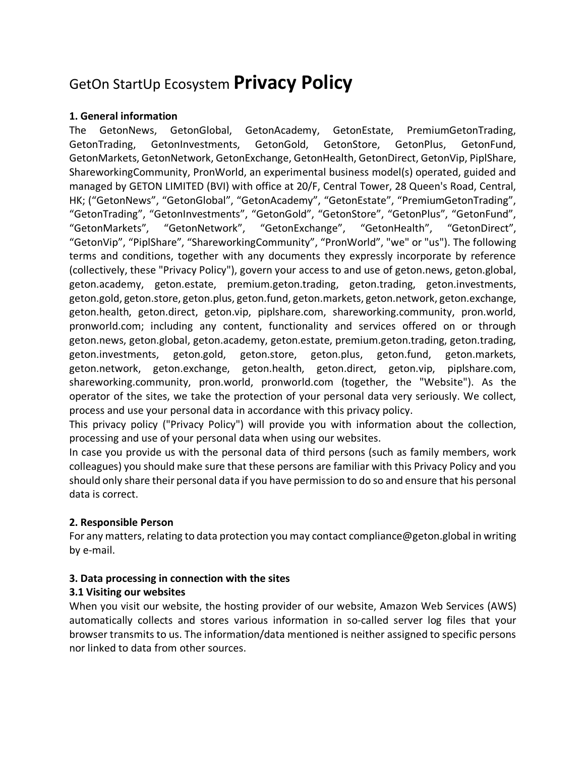# GetOn StartUp Ecosystem **Privacy Policy**

# **1. General information**

The GetonNews, GetonGlobal, GetonAcademy, GetonEstate, PremiumGetonTrading, GetonTrading, GetonInvestments, GetonGold, GetonStore, GetonPlus, GetonFund, GetonMarkets, GetonNetwork, GetonExchange, GetonHealth, GetonDirect, GetonVip, PiplShare, ShareworkingCommunity, PronWorld, an experimental business model(s) operated, guided and managed by GETON LIMITED (BVI) with office at 20/F, Central Tower, 28 Queen's Road, Central, HK; ("GetonNews", "GetonGlobal", "GetonAcademy", "GetonEstate", "PremiumGetonTrading", "GetonTrading", "GetonInvestments", "GetonGold", "GetonStore", "GetonPlus", "GetonFund", "GetonMarkets", "GetonNetwork", "GetonExchange", "GetonHealth", "GetonDirect", "GetonVip", "PiplShare", "ShareworkingCommunity", "PronWorld", "we" or "us"). The following terms and conditions, together with any documents they expressly incorporate by reference (collectively, these "Privacy Policy"), govern your access to and use of geton.news, geton.global, geton.academy, geton.estate, premium.geton.trading, geton.trading, geton.investments, geton.gold, geton.store, geton.plus, geton.fund, geton.markets, geton.network, geton.exchange, geton.health, geton.direct, geton.vip, piplshare.com, shareworking.community, pron.world, pronworld.com; including any content, functionality and services offered on or through geton.news, geton.global, geton.academy, geton.estate, premium.geton.trading, geton.trading, geton.investments, geton.gold, geton.store, geton.plus, geton.fund, geton.markets, geton.network, geton.exchange, geton.health, geton.direct, geton.vip, piplshare.com, shareworking.community, pron.world, pronworld.com (together, the "Website"). As the operator of the sites, we take the protection of your personal data very seriously. We collect, process and use your personal data in accordance with this privacy policy.

This privacy policy ("Privacy Policy") will provide you with information about the collection, processing and use of your personal data when using our websites.

In case you provide us with the personal data of third persons (such as family members, work colleagues) you should make sure that these persons are familiar with this Privacy Policy and you should only share their personal data if you have permission to do so and ensure that his personal data is correct.

# **2. Responsible Person**

For any matters, relating to data protection you may contact compliance@geton.global in writing by e-mail.

# **3. Data processing in connection with the sites**

# **3.1 Visiting our websites**

When you visit our website, the hosting provider of our website, Amazon Web Services (AWS) automatically collects and stores various information in so-called server log files that your browser transmits to us. The information/data mentioned is neither assigned to specific persons nor linked to data from other sources.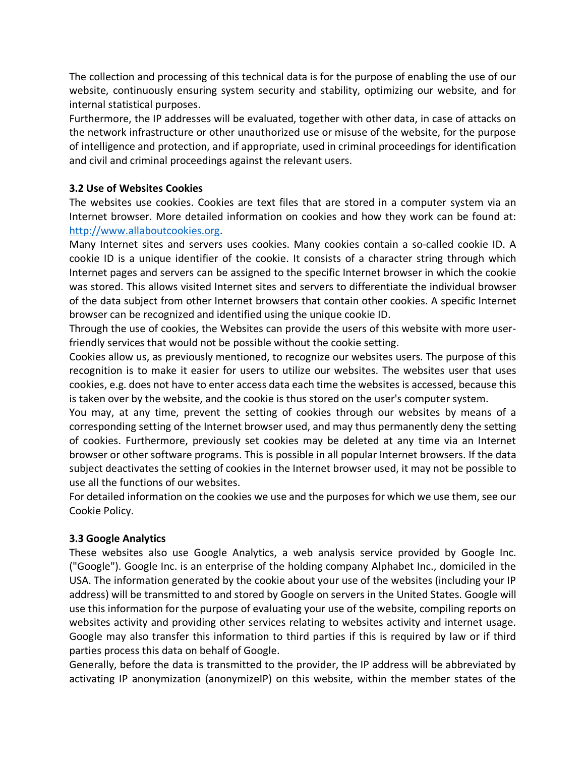The collection and processing of this technical data is for the purpose of enabling the use of our website, continuously ensuring system security and stability, optimizing our website, and for internal statistical purposes.

Furthermore, the IP addresses will be evaluated, together with other data, in case of attacks on the network infrastructure or other unauthorized use or misuse of the website, for the purpose of intelligence and protection, and if appropriate, used in criminal proceedings for identification and civil and criminal proceedings against the relevant users.

# **3.2 Use of Websites Cookies**

The websites use cookies. Cookies are text files that are stored in a computer system via an Internet browser. More detailed information on cookies and how they work can be found at: http://www.allaboutcookies.org.

Many Internet sites and servers uses cookies. Many cookies contain a so-called cookie ID. A cookie ID is a unique identifier of the cookie. It consists of a character string through which Internet pages and servers can be assigned to the specific Internet browser in which the cookie was stored. This allows visited Internet sites and servers to differentiate the individual browser of the data subject from other Internet browsers that contain other cookies. A specific Internet browser can be recognized and identified using the unique cookie ID.

Through the use of cookies, the Websites can provide the users of this website with more userfriendly services that would not be possible without the cookie setting.

Cookies allow us, as previously mentioned, to recognize our websites users. The purpose of this recognition is to make it easier for users to utilize our websites. The websites user that uses cookies, e.g. does not have to enter access data each time the websites is accessed, because this is taken over by the website, and the cookie is thus stored on the user's computer system.

You may, at any time, prevent the setting of cookies through our websites by means of a corresponding setting of the Internet browser used, and may thus permanently deny the setting of cookies. Furthermore, previously set cookies may be deleted at any time via an Internet browser or other software programs. This is possible in all popular Internet browsers. If the data subject deactivates the setting of cookies in the Internet browser used, it may not be possible to use all the functions of our websites.

For detailed information on the cookies we use and the purposes for which we use them, see our Cookie Policy.

# **3.3 Google Analytics**

These websites also use Google Analytics, a web analysis service provided by Google Inc. ("Google"). Google Inc. is an enterprise of the holding company Alphabet Inc., domiciled in the USA. The information generated by the cookie about your use of the websites (including your IP address) will be transmitted to and stored by Google on servers in the United States. Google will use this information for the purpose of evaluating your use of the website, compiling reports on websites activity and providing other services relating to websites activity and internet usage. Google may also transfer this information to third parties if this is required by law or if third parties process this data on behalf of Google.

Generally, before the data is transmitted to the provider, the IP address will be abbreviated by activating IP anonymization (anonymizeIP) on this website, within the member states of the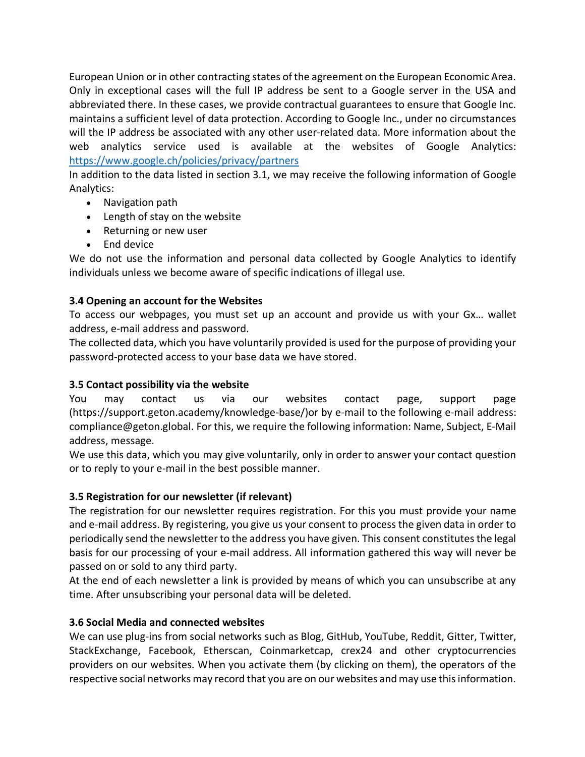European Union or in other contracting states of the agreement on the European Economic Area. Only in exceptional cases will the full IP address be sent to a Google server in the USA and abbreviated there. In these cases, we provide contractual guarantees to ensure that Google Inc. maintains a sufficient level of data protection. According to Google Inc., under no circumstances will the IP address be associated with any other user-related data. More information about the web analytics service used is available at the websites of Google Analytics: https://www.google.ch/policies/privacy/partners

In addition to the data listed in section 3.1, we may receive the following information of Google Analytics:

- Navigation path
- Length of stay on the website
- Returning or new user
- End device

We do not use the information and personal data collected by Google Analytics to identify individuals unless we become aware of specific indications of illegal use.

# **3.4 Opening an account for the Websites**

To access our webpages, you must set up an account and provide us with your Gx… wallet address, e-mail address and password.

The collected data, which you have voluntarily provided is used for the purpose of providing your password-protected access to your base data we have stored.

# **3.5 Contact possibility via the website**

You may contact us via our websites contact page, support page (https://support.geton.academy/knowledge-base/)or by e-mail to the following e-mail address: compliance@geton.global. For this, we require the following information: Name, Subject, E-Mail address, message.

We use this data, which you may give voluntarily, only in order to answer your contact question or to reply to your e-mail in the best possible manner.

# **3.5 Registration for our newsletter (if relevant)**

The registration for our newsletter requires registration. For this you must provide your name and e-mail address. By registering, you give us your consent to process the given data in order to periodically send the newsletter to the address you have given. This consent constitutes the legal basis for our processing of your e-mail address. All information gathered this way will never be passed on or sold to any third party.

At the end of each newsletter a link is provided by means of which you can unsubscribe at any time. After unsubscribing your personal data will be deleted.

# **3.6 Social Media and connected websites**

We can use plug-ins from social networks such as Blog, GitHub, YouTube, Reddit, Gitter, Twitter, StackExchange, Facebook, Etherscan, Coinmarketcap, crex24 and other cryptocurrencies providers on our websites. When you activate them (by clicking on them), the operators of the respective social networks may record that you are on our websites and may use this information.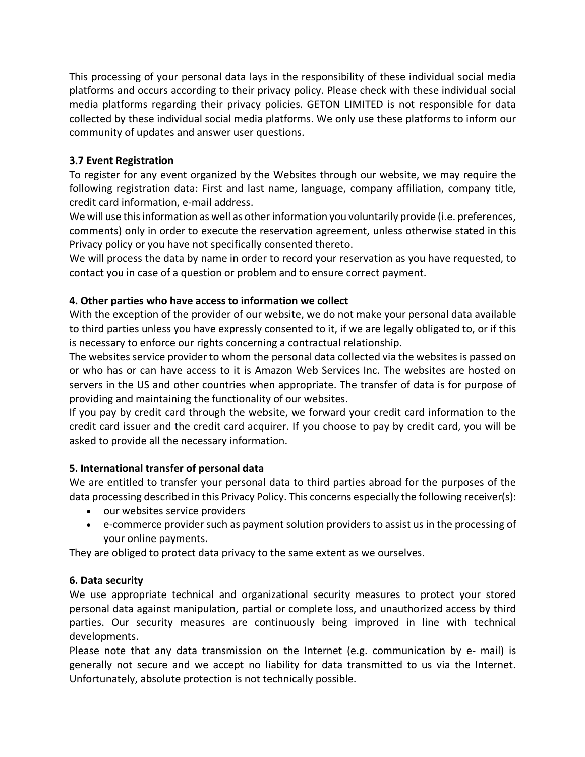This processing of your personal data lays in the responsibility of these individual social media platforms and occurs according to their privacy policy. Please check with these individual social media platforms regarding their privacy policies. GETON LIMITED is not responsible for data collected by these individual social media platforms. We only use these platforms to inform our community of updates and answer user questions.

# **3.7 Event Registration**

To register for any event organized by the Websites through our website, we may require the following registration data: First and last name, language, company affiliation, company title, credit card information, e-mail address.

We will use this information as well as other information you voluntarily provide (i.e. preferences, comments) only in order to execute the reservation agreement, unless otherwise stated in this Privacy policy or you have not specifically consented thereto.

We will process the data by name in order to record your reservation as you have requested, to contact you in case of a question or problem and to ensure correct payment.

# **4. Other parties who have access to information we collect**

With the exception of the provider of our website, we do not make your personal data available to third parties unless you have expressly consented to it, if we are legally obligated to, or if this is necessary to enforce our rights concerning a contractual relationship.

The websites service provider to whom the personal data collected via the websites is passed on or who has or can have access to it is Amazon Web Services Inc. The websites are hosted on servers in the US and other countries when appropriate. The transfer of data is for purpose of providing and maintaining the functionality of our websites.

If you pay by credit card through the website, we forward your credit card information to the credit card issuer and the credit card acquirer. If you choose to pay by credit card, you will be asked to provide all the necessary information.

# **5. International transfer of personal data**

We are entitled to transfer your personal data to third parties abroad for the purposes of the data processing described in this Privacy Policy. This concerns especially the following receiver(s):

- our websites service providers
- e-commerce provider such as payment solution providers to assist us in the processing of your online payments.

They are obliged to protect data privacy to the same extent as we ourselves.

# **6. Data security**

We use appropriate technical and organizational security measures to protect your stored personal data against manipulation, partial or complete loss, and unauthorized access by third parties. Our security measures are continuously being improved in line with technical developments.

Please note that any data transmission on the Internet (e.g. communication by e- mail) is generally not secure and we accept no liability for data transmitted to us via the Internet. Unfortunately, absolute protection is not technically possible.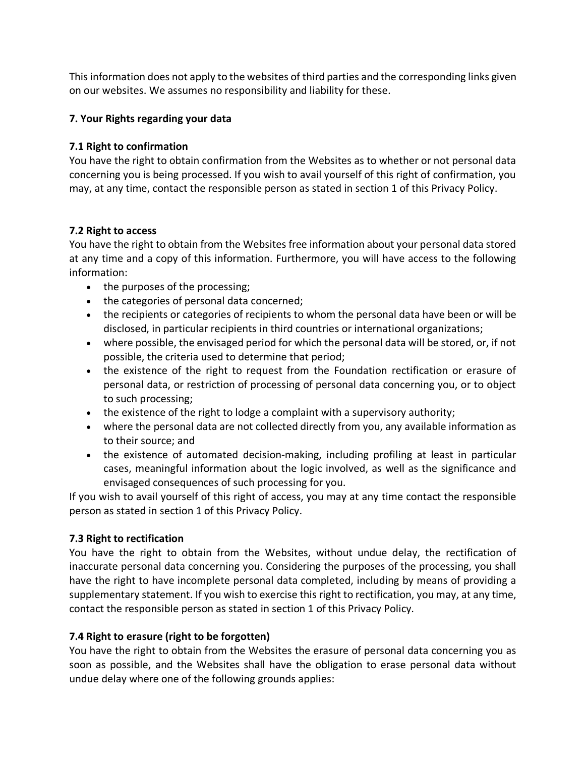This information does not apply to the websites of third parties and the corresponding links given on our websites. We assumes no responsibility and liability for these.

#### **7. Your Rights regarding your data**

#### **7.1 Right to confirmation**

You have the right to obtain confirmation from the Websites as to whether or not personal data concerning you is being processed. If you wish to avail yourself of this right of confirmation, you may, at any time, contact the responsible person as stated in section 1 of this Privacy Policy.

#### **7.2 Right to access**

You have the right to obtain from the Websites free information about your personal data stored at any time and a copy of this information. Furthermore, you will have access to the following information:

- the purposes of the processing;
- the categories of personal data concerned;
- the recipients or categories of recipients to whom the personal data have been or will be disclosed, in particular recipients in third countries or international organizations;
- where possible, the envisaged period for which the personal data will be stored, or, if not possible, the criteria used to determine that period;
- the existence of the right to request from the Foundation rectification or erasure of personal data, or restriction of processing of personal data concerning you, or to object to such processing;
- the existence of the right to lodge a complaint with a supervisory authority;
- where the personal data are not collected directly from you, any available information as to their source; and
- the existence of automated decision-making, including profiling at least in particular cases, meaningful information about the logic involved, as well as the significance and envisaged consequences of such processing for you.

If you wish to avail yourself of this right of access, you may at any time contact the responsible person as stated in section 1 of this Privacy Policy.

# **7.3 Right to rectification**

You have the right to obtain from the Websites, without undue delay, the rectification of inaccurate personal data concerning you. Considering the purposes of the processing, you shall have the right to have incomplete personal data completed, including by means of providing a supplementary statement. If you wish to exercise this right to rectification, you may, at any time, contact the responsible person as stated in section 1 of this Privacy Policy.

# **7.4 Right to erasure (right to be forgotten)**

You have the right to obtain from the Websites the erasure of personal data concerning you as soon as possible, and the Websites shall have the obligation to erase personal data without undue delay where one of the following grounds applies: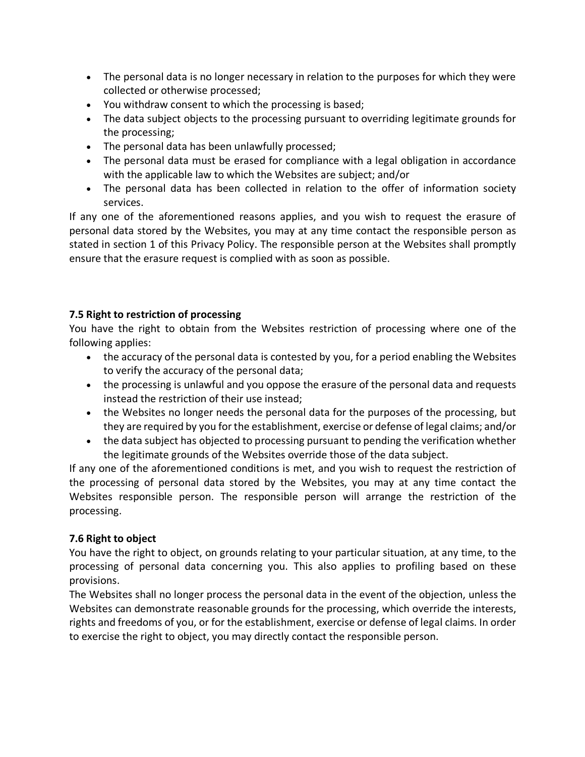- The personal data is no longer necessary in relation to the purposes for which they were collected or otherwise processed;
- You withdraw consent to which the processing is based;
- The data subject objects to the processing pursuant to overriding legitimate grounds for the processing;
- The personal data has been unlawfully processed;
- The personal data must be erased for compliance with a legal obligation in accordance with the applicable law to which the Websites are subject; and/or
- The personal data has been collected in relation to the offer of information society services.

If any one of the aforementioned reasons applies, and you wish to request the erasure of personal data stored by the Websites, you may at any time contact the responsible person as stated in section 1 of this Privacy Policy. The responsible person at the Websites shall promptly ensure that the erasure request is complied with as soon as possible.

# **7.5 Right to restriction of processing**

You have the right to obtain from the Websites restriction of processing where one of the following applies:

- the accuracy of the personal data is contested by you, for a period enabling the Websites to verify the accuracy of the personal data;
- the processing is unlawful and you oppose the erasure of the personal data and requests instead the restriction of their use instead;
- the Websites no longer needs the personal data for the purposes of the processing, but they are required by you for the establishment, exercise or defense of legal claims; and/or
- the data subject has objected to processing pursuant to pending the verification whether the legitimate grounds of the Websites override those of the data subject.

If any one of the aforementioned conditions is met, and you wish to request the restriction of the processing of personal data stored by the Websites, you may at any time contact the Websites responsible person. The responsible person will arrange the restriction of the processing.

# **7.6 Right to object**

You have the right to object, on grounds relating to your particular situation, at any time, to the processing of personal data concerning you. This also applies to profiling based on these provisions.

The Websites shall no longer process the personal data in the event of the objection, unless the Websites can demonstrate reasonable grounds for the processing, which override the interests, rights and freedoms of you, or for the establishment, exercise or defense of legal claims. In order to exercise the right to object, you may directly contact the responsible person.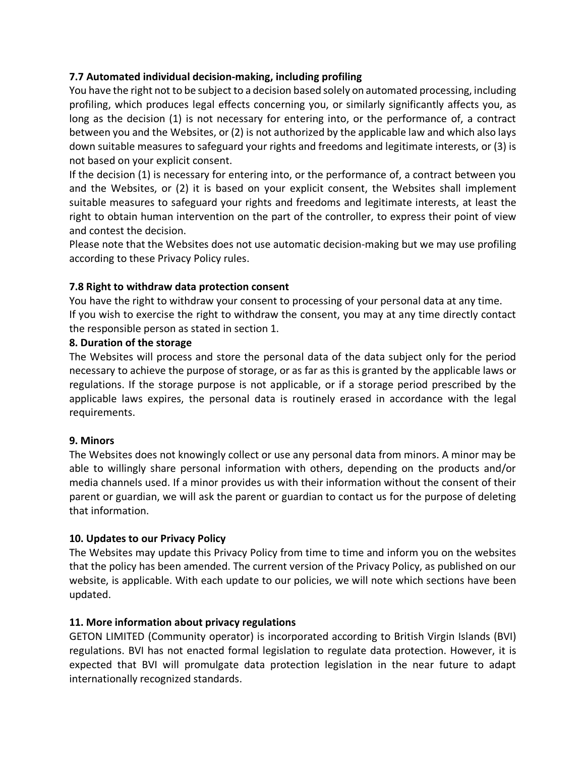# **7.7 Automated individual decision-making, including profiling**

You have the right not to be subject to a decision based solely on automated processing, including profiling, which produces legal effects concerning you, or similarly significantly affects you, as long as the decision (1) is not necessary for entering into, or the performance of, a contract between you and the Websites, or (2) is not authorized by the applicable law and which also lays down suitable measures to safeguard your rights and freedoms and legitimate interests, or (3) is not based on your explicit consent.

If the decision (1) is necessary for entering into, or the performance of, a contract between you and the Websites, or (2) it is based on your explicit consent, the Websites shall implement suitable measures to safeguard your rights and freedoms and legitimate interests, at least the right to obtain human intervention on the part of the controller, to express their point of view and contest the decision.

Please note that the Websites does not use automatic decision-making but we may use profiling according to these Privacy Policy rules.

# **7.8 Right to withdraw data protection consent**

You have the right to withdraw your consent to processing of your personal data at any time. If you wish to exercise the right to withdraw the consent, you may at any time directly contact the responsible person as stated in section 1.

#### **8. Duration of the storage**

The Websites will process and store the personal data of the data subject only for the period necessary to achieve the purpose of storage, or as far as this is granted by the applicable laws or regulations. If the storage purpose is not applicable, or if a storage period prescribed by the applicable laws expires, the personal data is routinely erased in accordance with the legal requirements.

# **9. Minors**

The Websites does not knowingly collect or use any personal data from minors. A minor may be able to willingly share personal information with others, depending on the products and/or media channels used. If a minor provides us with their information without the consent of their parent or guardian, we will ask the parent or guardian to contact us for the purpose of deleting that information.

# **10. Updates to our Privacy Policy**

The Websites may update this Privacy Policy from time to time and inform you on the websites that the policy has been amended. The current version of the Privacy Policy, as published on our website, is applicable. With each update to our policies, we will note which sections have been updated.

# **11. More information about privacy regulations**

GETON LIMITED (Community operator) is incorporated according to British Virgin Islands (BVI) regulations. BVI has not enacted formal legislation to regulate data protection. However, it is expected that BVI will promulgate data protection legislation in the near future to adapt internationally recognized standards.